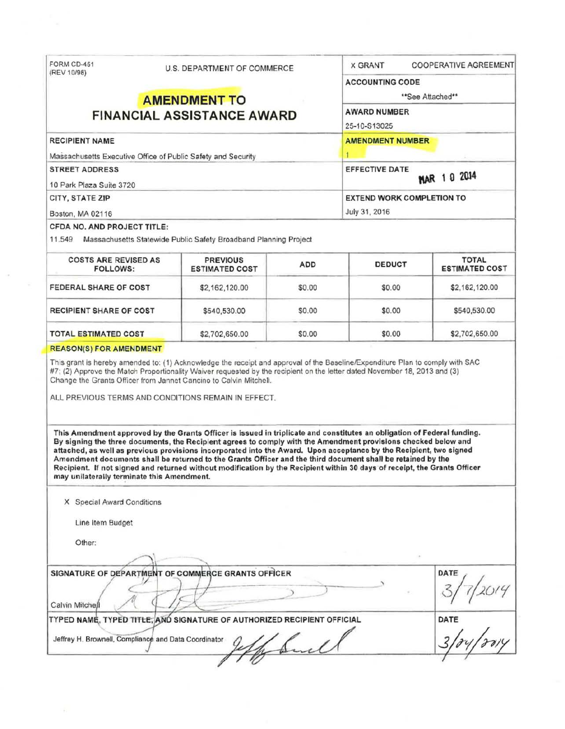| FORM CD-451<br>(REV 10/98)                                                                                                     | U.S. DEPARTMENT OF COMMERCE |                                                                                                                                                                                                                                                                                                                                                                                                                                                                                                                                                                                                                                                                    |              | <b>COOPERATIVE AGREEMENT</b><br><b>X GRANT</b> |                                       |  |
|--------------------------------------------------------------------------------------------------------------------------------|-----------------------------|--------------------------------------------------------------------------------------------------------------------------------------------------------------------------------------------------------------------------------------------------------------------------------------------------------------------------------------------------------------------------------------------------------------------------------------------------------------------------------------------------------------------------------------------------------------------------------------------------------------------------------------------------------------------|--------------|------------------------------------------------|---------------------------------------|--|
|                                                                                                                                |                             |                                                                                                                                                                                                                                                                                                                                                                                                                                                                                                                                                                                                                                                                    |              | <b>ACCOUNTING CODE</b>                         |                                       |  |
|                                                                                                                                | <b>AMENDMENT TO</b>         | **See Attached**                                                                                                                                                                                                                                                                                                                                                                                                                                                                                                                                                                                                                                                   |              |                                                |                                       |  |
| <b>FINANCIAL ASSISTANCE AWARD</b>                                                                                              |                             | <b>AWARD NUMBER</b>                                                                                                                                                                                                                                                                                                                                                                                                                                                                                                                                                                                                                                                |              |                                                |                                       |  |
|                                                                                                                                |                             | 25-10-S13025                                                                                                                                                                                                                                                                                                                                                                                                                                                                                                                                                                                                                                                       |              |                                                |                                       |  |
| <b>RECIPIENT NAME</b>                                                                                                          |                             | <b>AMENDMENT NUMBER</b>                                                                                                                                                                                                                                                                                                                                                                                                                                                                                                                                                                                                                                            |              |                                                |                                       |  |
| Massachusetts Executive Office of Public Safety and Security                                                                   |                             |                                                                                                                                                                                                                                                                                                                                                                                                                                                                                                                                                                                                                                                                    |              |                                                |                                       |  |
| <b>STREET ADDRESS</b>                                                                                                          |                             | EFFECTIVE DATE                                                                                                                                                                                                                                                                                                                                                                                                                                                                                                                                                                                                                                                     | MAR 1 0 2014 |                                                |                                       |  |
| 10 Park Plaza Suite 3720                                                                                                       |                             |                                                                                                                                                                                                                                                                                                                                                                                                                                                                                                                                                                                                                                                                    |              |                                                |                                       |  |
| CITY, STATE ZIP                                                                                                                |                             |                                                                                                                                                                                                                                                                                                                                                                                                                                                                                                                                                                                                                                                                    |              | <b>EXTEND WORK COMPLETION TO</b>               |                                       |  |
| Boston, MA 02116                                                                                                               |                             | July 31, 2016                                                                                                                                                                                                                                                                                                                                                                                                                                                                                                                                                                                                                                                      |              |                                                |                                       |  |
| CFDA NO. AND PROJECT TITLE:                                                                                                    |                             |                                                                                                                                                                                                                                                                                                                                                                                                                                                                                                                                                                                                                                                                    |              |                                                |                                       |  |
|                                                                                                                                |                             | 11.549 Massachusetts Statewide Public Safety Broadband Planning Project                                                                                                                                                                                                                                                                                                                                                                                                                                                                                                                                                                                            |              |                                                |                                       |  |
| <b>COSTS ARE REVISED AS</b><br><b>FOLLOWS:</b>                                                                                 |                             | <b>PREVIOUS</b><br><b>ESTIMATED COST</b>                                                                                                                                                                                                                                                                                                                                                                                                                                                                                                                                                                                                                           | <b>ADD</b>   | <b>DEDUCT</b>                                  | <b>TOTAL</b><br><b>ESTIMATED COST</b> |  |
| FEDERAL SHARE OF COST                                                                                                          |                             | \$2,162,120.00                                                                                                                                                                                                                                                                                                                                                                                                                                                                                                                                                                                                                                                     | \$0.00       | \$0.00                                         | \$2,162,120.00                        |  |
| RECIPIENT SHARE OF COST                                                                                                        |                             | \$540,530.00                                                                                                                                                                                                                                                                                                                                                                                                                                                                                                                                                                                                                                                       | \$0.00       | \$0.00                                         | \$540,530.00                          |  |
|                                                                                                                                |                             |                                                                                                                                                                                                                                                                                                                                                                                                                                                                                                                                                                                                                                                                    |              |                                                |                                       |  |
|                                                                                                                                |                             | \$2,702,650.00<br>This grant is hereby amended to: (1) Acknowledge the receipt and approval of the Baseline/Expenditure Plan to comply with SAC<br>#7; (2) Approve the Match Proportionality Waiver requested by the recipient on the letter dated November 18, 2013 and (3)<br>Change the Grants Officer from Jannet Cancino to Calvin Mitchell.                                                                                                                                                                                                                                                                                                                  | \$0.00       | \$0.00                                         | \$2,702,650.00                        |  |
|                                                                                                                                |                             | ALL PREVIOUS TERMS AND CONDITIONS REMAIN IN EFFECT.<br>This Amendment approved by the Grants Officer is issued in triplicate and constitutes an obligation of Federal funding.<br>By signing the three documents, the Recipient agrees to comply with the Amendment provisions checked below and<br>attached, as well as previous provisions incorporated into the Award. Upon acceptance by the Recipient, two signed<br>Amendment documents shall be returned to the Grants Officer and the third document shall be retained by the<br>Recipient. If not signed and returned without modification by the Recipient within 30 days of receipt, the Grants Officer |              |                                                |                                       |  |
| X Special Award Conditions                                                                                                     |                             |                                                                                                                                                                                                                                                                                                                                                                                                                                                                                                                                                                                                                                                                    |              |                                                |                                       |  |
| Line Item Budget                                                                                                               |                             |                                                                                                                                                                                                                                                                                                                                                                                                                                                                                                                                                                                                                                                                    |              |                                                |                                       |  |
|                                                                                                                                |                             |                                                                                                                                                                                                                                                                                                                                                                                                                                                                                                                                                                                                                                                                    |              |                                                |                                       |  |
| Other:                                                                                                                         |                             |                                                                                                                                                                                                                                                                                                                                                                                                                                                                                                                                                                                                                                                                    |              |                                                |                                       |  |
|                                                                                                                                |                             | SIGNATURE OF DEPARTMENT OF COMMERCE GRANTS OFFICER                                                                                                                                                                                                                                                                                                                                                                                                                                                                                                                                                                                                                 |              |                                                | DATE                                  |  |
| <b>TOTAL ESTIMATED COST</b><br><b>REASON(S) FOR AMENDMENT</b><br>may unilaterally terminate this Amendment.<br>Calvin Mitchell |                             | TYPED NAME, TYPED TITLE, AND SIGNATURE OF AUTHORIZED RECIPIENT OFFICIAL                                                                                                                                                                                                                                                                                                                                                                                                                                                                                                                                                                                            |              |                                                | DATE                                  |  |